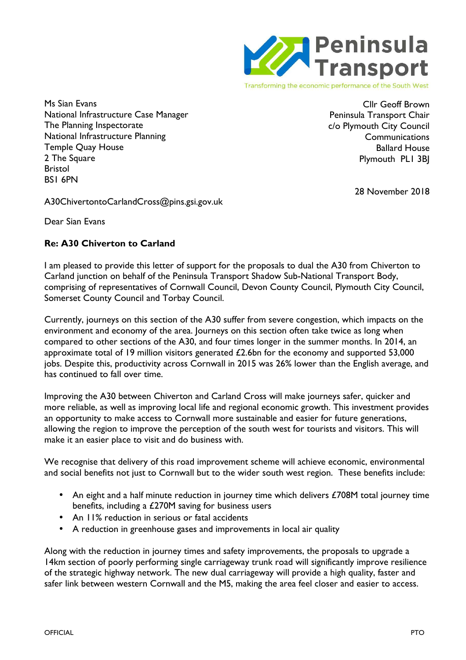

Transforming the economic performance of the South West

Ms Sian Evans National Infrastructure Case Manager The Planning Inspectorate National Infrastructure Planning Temple Quay House 2 The Square Bristol BS1 6PN

Cllr Geoff Brown Peninsula Transport Chair c/o Plymouth City Council **Communications** Ballard House Plymouth PL1 3BJ

28 November 2018

A30ChivertontoCarlandCross@pins.gsi.gov.uk

Dear Sian Evans

## **Re: A30 Chiverton to Carland**

I am pleased to provide this letter of support for the proposals to dual the A30 from Chiverton to Carland junction on behalf of the Peninsula Transport Shadow Sub-National Transport Body, comprising of representatives of Cornwall Council, Devon County Council, Plymouth City Council, Somerset County Council and Torbay Council.

Currently, journeys on this section of the A30 suffer from severe congestion, which impacts on the environment and economy of the area. Journeys on this section often take twice as long when compared to other sections of the A30, and four times longer in the summer months. In 2014, an approximate total of 19 million visitors generated £2.6bn for the economy and supported 53,000 jobs. Despite this, productivity across Cornwall in 2015 was 26% lower than the English average, and has continued to fall over time.

Improving the A30 between Chiverton and Carland Cross will make journeys safer, quicker and more reliable, as well as improving local life and regional economic growth. This investment provides an opportunity to make access to Cornwall more sustainable and easier for future generations, allowing the region to improve the perception of the south west for tourists and visitors. This will make it an easier place to visit and do business with.

We recognise that delivery of this road improvement scheme will achieve economic, environmental and social benefits not just to Cornwall but to the wider south west region. These benefits include:

- An eight and a half minute reduction in journey time which delivers £708M total journey time benefits, including a £270M saving for business users
- An 11% reduction in serious or fatal accidents
- A reduction in greenhouse gases and improvements in local air quality

Along with the reduction in journey times and safety improvements, the proposals to upgrade a 14km section of poorly performing single carriageway trunk road will significantly improve resilience of the strategic highway network. The new dual carriageway will provide a high quality, faster and safer link between western Cornwall and the M5, making the area feel closer and easier to access.